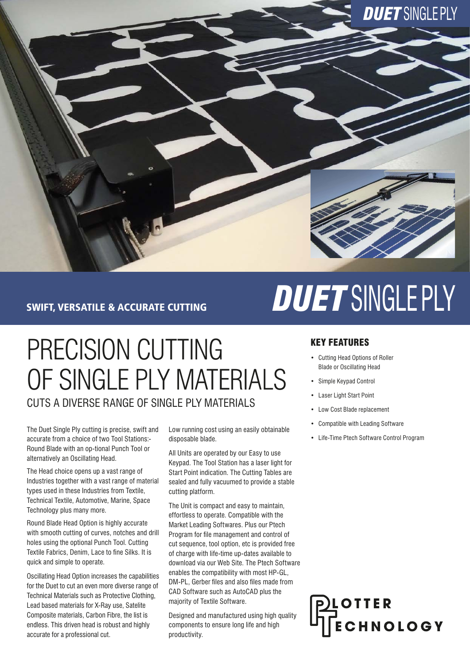

#### SWIFT, VERSATILE & ACCURATE CUTTING

## PRECISION CUTTING OF SINGLE PLY MATERIALS CUTS A DIVERSE RANGE OF SINGLE PLY MATERIALS

The Duet Single Ply cutting is precise, swift and accurate from a choice of two Tool Stations:- Round Blade with an op-tional Punch Tool or alternatively an Oscillating Head.

The Head choice opens up a vast range of Industries together with a vast range of material types used in these Industries from Textile, Technical Textile, Automotive, Marine, Space Technology plus many more.

Round Blade Head Option is highly accurate with smooth cutting of curves, notches and drill holes using the optional Punch Tool. Cutting Textile Fabrics, Denim, Lace to fine Silks. It is quick and simple to operate.

Oscillating Head Option increases the capabilities for the Duet to cut an even more diverse range of Technical Materials such as Protective Clothing, Lead based materials for X-Ray use, Satelite Composite materials, Carbon Fibre, the list is endless. This driven head is robust and highly accurate for a professional cut.

Low running cost using an easily obtainable disposable blade.

All Units are operated by our Easy to use Keypad. The Tool Station has a laser light for Start Point indication. The Cutting Tables are sealed and fully vacuumed to provide a stable cutting platform.

The Unit is compact and easy to maintain, effortless to operate. Compatible with the Market Leading Softwares. Plus our Ptech Program for file management and control of cut sequence, tool option, etc is provided free of charge with life-time up-dates available to download via our Web Site. The Ptech Software enables the compatibility with most HP-GL, DM-PL, Gerber files and also files made from CAD Software such as AutoCAD plus the majority of Textile Software.

Designed and manufactured using high quality components to ensure long life and high productivity.

# *DUET* SINGLEPLY

#### KEY FEATURES

- Cutting Head Options of Roller Blade or Oscillating Head
- Simple Keypad Control
- Laser Light Start Point
- Low Cost Blade replacement
- Compatible with Leading Software
- Life-Time Ptech Software Control Program

OTTER CHNOLOGY